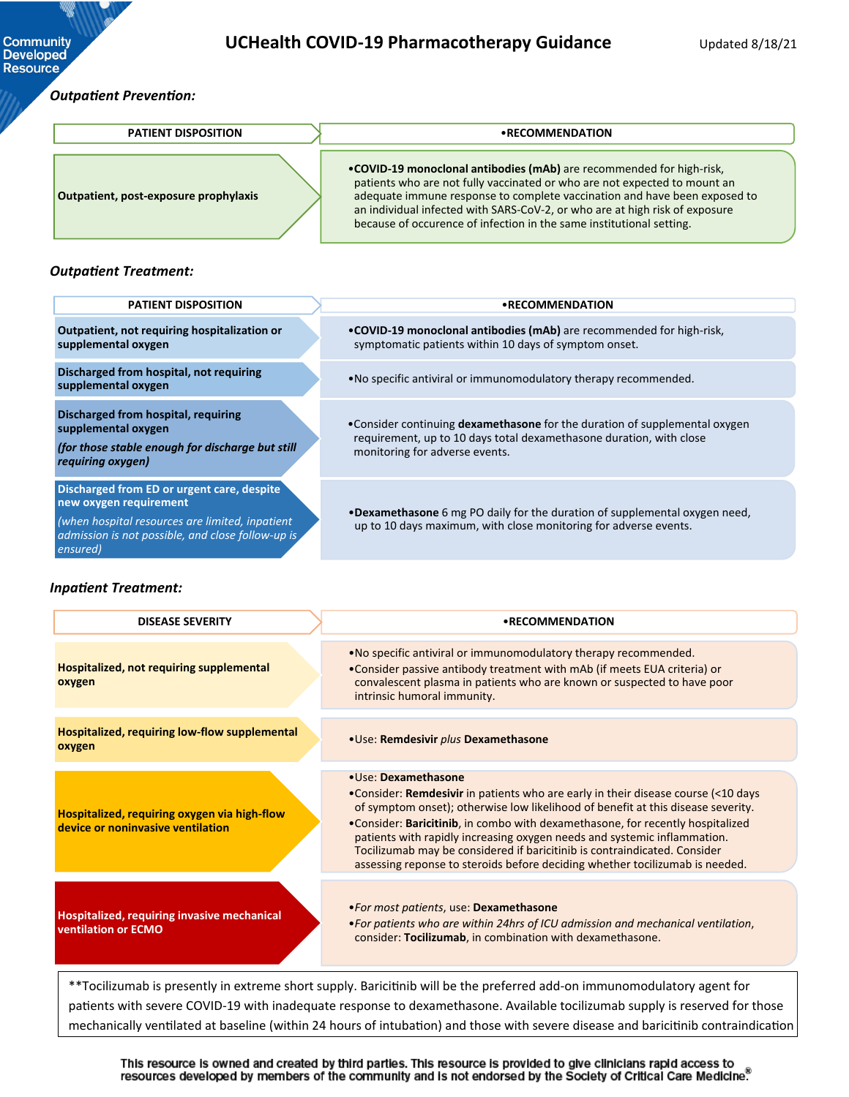### *Outpatient Prevention:*

**Community**<br>Developed **Resource** 

| <b>PATIENT DISPOSITION</b>            | • RECOMMENDATION                                                                                                                                                                                                                                                                                                                                                                       |  |
|---------------------------------------|----------------------------------------------------------------------------------------------------------------------------------------------------------------------------------------------------------------------------------------------------------------------------------------------------------------------------------------------------------------------------------------|--|
| Outpatient, post-exposure prophylaxis | • COVID-19 monoclonal antibodies (mAb) are recommended for high-risk,<br>patients who are not fully vaccinated or who are not expected to mount an<br>adequate immune response to complete vaccination and have been exposed to<br>an individual infected with SARS-CoV-2, or who are at high risk of exposure<br>because of occurence of infection in the same institutional setting. |  |

#### *Outpatient Treatment:*

| <b>PATIENT DISPOSITION</b>                                                                                                                                                   | • RECOMMENDATION                                                                                                                                                                     |
|------------------------------------------------------------------------------------------------------------------------------------------------------------------------------|--------------------------------------------------------------------------------------------------------------------------------------------------------------------------------------|
| Outpatient, not requiring hospitalization or<br>supplemental oxygen                                                                                                          | .COVID-19 monoclonal antibodies (mAb) are recommended for high-risk,<br>symptomatic patients within 10 days of symptom onset.                                                        |
| Discharged from hospital, not requiring<br>supplemental oxygen                                                                                                               | • No specific antiviral or immunomodulatory therapy recommended.                                                                                                                     |
| Discharged from hospital, requiring<br>supplemental oxygen<br>(for those stable enough for discharge but still<br>requiring oxygen)                                          | • Consider continuing dexamethasone for the duration of supplemental oxygen<br>requirement, up to 10 days total dexamethasone duration, with close<br>monitoring for adverse events. |
| Discharged from ED or urgent care, despite<br>new oxygen requirement<br>(when hospital resources are limited, inpatient<br>admission is not possible, and close follow-up is | .Dexamethasone 6 mg PO daily for the duration of supplemental oxygen need,<br>up to 10 days maximum, with close monitoring for adverse events.                                       |

#### *Inpatient Treatment:*

*ensured)*

| <b>DISEASE SEVERITY</b>                                                           | • RECOMMENDATION                                                                                                                                                                                                                                                                                                                                                                                                                                                                                                          |
|-----------------------------------------------------------------------------------|---------------------------------------------------------------------------------------------------------------------------------------------------------------------------------------------------------------------------------------------------------------------------------------------------------------------------------------------------------------------------------------------------------------------------------------------------------------------------------------------------------------------------|
| Hospitalized, not requiring supplemental<br>oxygen                                | . No specific antiviral or immunomodulatory therapy recommended.<br>. Consider passive antibody treatment with mAb (if meets EUA criteria) or<br>convalescent plasma in patients who are known or suspected to have poor<br>intrinsic humoral immunity.                                                                                                                                                                                                                                                                   |
| Hospitalized, requiring low-flow supplemental<br>oxygen                           | • Use: Remdesivir plus Dexamethasone                                                                                                                                                                                                                                                                                                                                                                                                                                                                                      |
| Hospitalized, requiring oxygen via high-flow<br>device or noninvasive ventilation | · Use: Dexamethasone<br>• Consider: Remdesivir in patients who are early in their disease course (<10 days<br>of symptom onset); otherwise low likelihood of benefit at this disease severity.<br>•Consider: Baricitinib, in combo with dexamethasone, for recently hospitalized<br>patients with rapidly increasing oxygen needs and systemic inflammation.<br>Tocilizumab may be considered if baricitinib is contraindicated. Consider<br>assessing reponse to steroids before deciding whether tocilizumab is needed. |
| Hospitalized, requiring invasive mechanical<br><b>ventilation or ECMO</b>         | .For most patients, use: Dexamethasone<br>. For patients who are within 24hrs of ICU admission and mechanical ventilation,<br>consider: Tocilizumab, in combination with dexamethasone.                                                                                                                                                                                                                                                                                                                                   |
|                                                                                   | **Tocilizumab is presently in extreme short supply. Baricitinib will be the preferred add-on immunomodulatory agent for<br>patients with severe COVID-19 with inadequate response to dexamethasone. Available tocilizumab supply is reserved for those<br>mechanically ventilated at baseline (within 24 hours of intubation) and those with severe disease and baricitinib contraindication                                                                                                                              |

This resource is owned and created by third parties. This resource is provided to give clinicians rapid access to<br>resources developed by members of the community and is not endorsed by the Society of Critical Care Medicin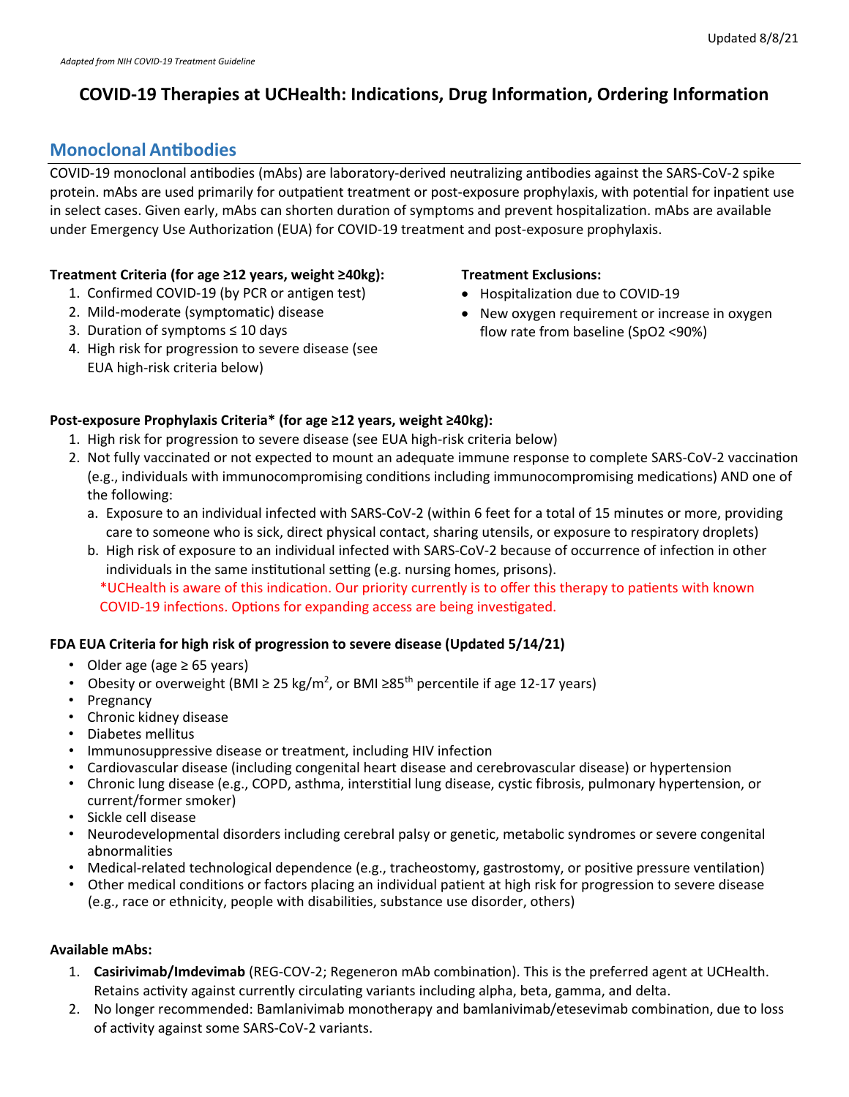# **COVID-19 Therapies at UCHealth: Indications, Drug Information, Ordering Information**

# **Monoclonal An�bodies**

COVID-19 monoclonal antibodies (mAbs) are laboratory-derived neutralizing antibodies against the SARS-CoV-2 spike protein. mAbs are used primarily for outpatient treatment or post-exposure prophylaxis, with potential for inpatient use in select cases. Given early, mAbs can shorten duration of symptoms and prevent hospitalization. mAbs are available under Emergency Use Authorization (EUA) for COVID-19 treatment and post-exposure prophylaxis.

## **Treatment Criteria (for age ≥12 years, weight ≥40kg):**

- 1. Confirmed COVID-19 (by PCR or antigen test)
- 2. Mild-moderate (symptomatic) disease
- 3. Duration of symptoms ≤ 10 days
- 4. High risk for progression to severe disease (see EUA high-risk criteria below)

## **Treatment Exclusions:**

- Hospitalization due to COVID-19
- New oxygen requirement or increase in oxygen flow rate from baseline (SpO2 <90%)

## **Post-exposure Prophylaxis Criteria\* (for age ≥12 years, weight ≥40kg):**

- 1. High risk for progression to severe disease (see EUA high-risk criteria below)
- 2. Not fully vaccinated or not expected to mount an adequate immune response to complete SARS-CoV-2 vaccination (e.g., individuals with immunocompromising conditions including immunocompromising medications) AND one of the following:
	- a. Exposure to an individual infected with SARS-CoV-2 (within 6 feet for a total of 15 minutes or more, providing care to someone who is sick, direct physical contact, sharing utensils, or exposure to respiratory droplets)
	- b. High risk of exposure to an individual infected with SARS-CoV-2 because of occurrence of infection in other individuals in the same institutional setting (e.g. nursing homes, prisons). \*UCHealth is aware of this indica�on. Our priority currently is to offer this therapy to pa�ents with known COVID-19 infections. Options for expanding access are being investigated.

## **FDA EUA Criteria for high risk of progression to severe disease (Updated 5/14/21)**

- Older age (age ≥ 65 years)
- Obesity or overweight (BMI  $\geq 25$  kg/m<sup>2</sup>, or BMI  $\geq 85$ <sup>th</sup> percentile if age 12-17 years)
- Pregnancy
- Chronic kidney disease
- Diabetes mellitus
- Immunosuppressive disease or treatment, including HIV infection
- Cardiovascular disease (including congenital heart disease and cerebrovascular disease) or hypertension
- Chronic lung disease (e.g., COPD, asthma, interstitial lung disease, cystic fibrosis, pulmonary hypertension, or current/former smoker)
- Sickle cell disease
- Neurodevelopmental disorders including cerebral palsy or genetic, metabolic syndromes or severe congenital abnormalities
- Medical-related technological dependence (e.g., tracheostomy, gastrostomy, or positive pressure ventilation)
- Other medical conditions or factors placing an individual patient at high risk for progression to severe disease (e.g., race or ethnicity, people with disabilities, substance use disorder, others)

### **Available mAbs:**

- 1. **Casirivimab/Imdevimab** (REG-COV-2; Regeneron mAb combination). This is the preferred agent at UCHealth. Retains activity against currently circulating variants including alpha, beta, gamma, and delta.
- 2. No longer recommended: Bamlanivimab monotherapy and bamlanivimab/etesevimab combination, due to loss of activity against some SARS-CoV-2 variants.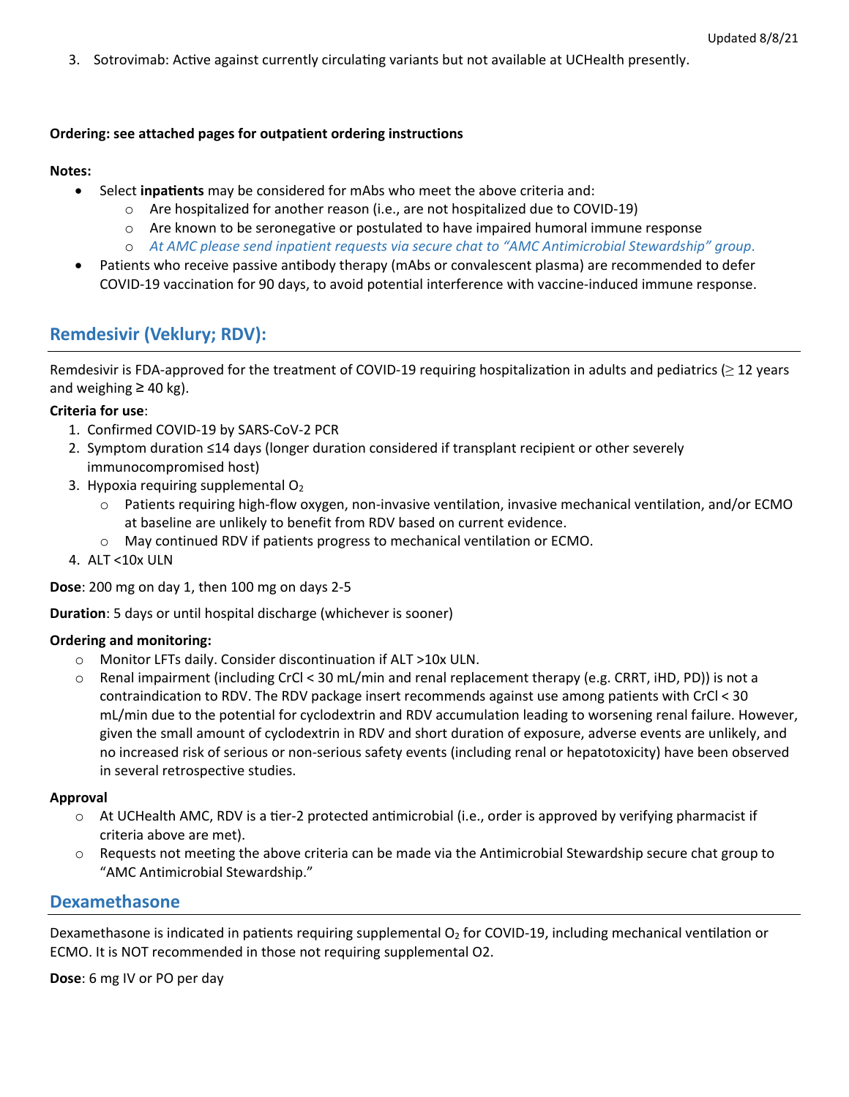3. Sotrovimab: Active against currently circulating variants but not available at UCHealth presently.

### **Ordering: see attached pages for outpatient ordering instructions**

### **Notes:**

- Select **inpa�ents** may be considered for mAbs who meet the above criteria and:
	- $\circ$  Are hospitalized for another reason (i.e., are not hospitalized due to COVID-19)
	- $\circ$  Are known to be seronegative or postulated to have impaired humoral immune response
	- o *At AMC please send inpatient requests via secure chat to "AMC Antimicrobial Stewardship" group*.
- Patients who receive passive antibody therapy (mAbs or convalescent plasma) are recommended to defer COVID-19 vaccination for 90 days, to avoid potential interference with vaccine-induced immune response.

# **Remdesivir (Veklury; RDV):**

Remdesivir is FDA-approved for the treatment of COVID-19 requiring hospitalization in adults and pediatrics ( $\geq$  12 years and weighing  $\geq$  40 kg).

### **Criteria for use**:

- 1. Confirmed COVID-19 by SARS-CoV-2 PCR
- 2. Symptom duration ≤14 days (longer duration considered if transplant recipient or other severely immunocompromised host)
- 3. Hypoxia requiring supplemental  $O<sub>2</sub>$ 
	- $\circ$  Patients requiring high-flow oxygen, non-invasive ventilation, invasive mechanical ventilation, and/or ECMO at baseline are unlikely to benefit from RDV based on current evidence.
	- o May continued RDV if patients progress to mechanical ventilation or ECMO.
- 4. ALT <10x ULN

**Dose**: 200 mg on day 1, then 100 mg on days 2-5

**Duration**: 5 days or until hospital discharge (whichever is sooner)

### **Ordering and monitoring:**

- o Monitor LFTs daily. Consider discontinuation if ALT >10x ULN.
- o Renal impairment (including CrCl < 30 mL/min and renal replacement therapy (e.g. CRRT, iHD, PD)) is not a contraindication to RDV. The RDV package insert recommends against use among patients with CrCl < 30 mL/min due to the potential for cyclodextrin and RDV accumulation leading to worsening renal failure. However, given the small amount of cyclodextrin in RDV and short duration of exposure, adverse events are unlikely, and no increased risk of serious or non-serious safety events (including renal or hepatotoxicity) have been observed in several retrospective studies.

### **Approval**

- o At UCHealth AMC, RDV is a tier-2 protected antimicrobial (i.e., order is approved by verifying pharmacist if criteria above are met).
- o Requests not meeting the above criteria can be made via the Antimicrobial Stewardship secure chat group to "AMC Antimicrobial Stewardship."

# **Dexamethasone**

Dexamethasone is indicated in patients requiring supplemental  $O_2$  for COVID-19, including mechanical ventilation or ECMO. It is NOT recommended in those not requiring supplemental O2.

**Dose**: 6 mg IV or PO per day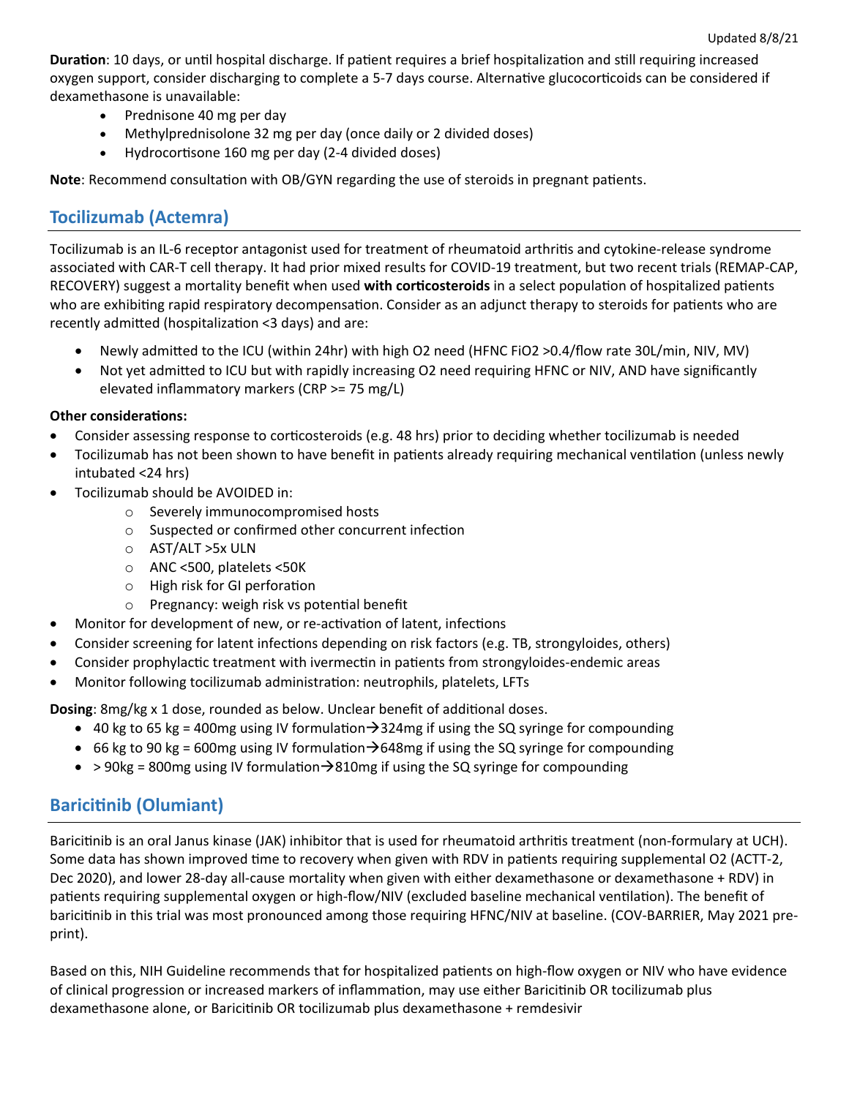**Duration**: 10 days, or until hospital discharge. If patient requires a brief hospitalization and still requiring increased oxygen support, consider discharging to complete a 5-7 days course. Alternative glucocorticoids can be considered if dexamethasone is unavailable:

- Prednisone 40 mg per day
- Methylprednisolone 32 mg per day (once daily or 2 divided doses)
- Hydrocor�sone 160 mg per day (2-4 divided doses)

**Note:** Recommend consultation with OB/GYN regarding the use of steroids in pregnant patients.

# **Tocilizumab (Actemra)**

Tocilizumab is an IL-6 receptor antagonist used for treatment of rheumatoid arthri�s and cytokine-release syndrome associated with CAR-T cell therapy. It had prior mixed results for COVID-19 treatment, but two recent trials (REMAP-CAP, RECOVERY) suggest a mortality benefit when used with corticosteroids in a select population of hospitalized patients who are exhibiting rapid respiratory decompensation. Consider as an adjunct therapy to steroids for patients who are recently admitted (hospitalization <3 days) and are:

- Newly admited to the ICU (within 24hr) with high O2 need (HFNC FiO2 >0.4/flow rate 30L/min, NIV, MV)
- Not yet admitted to ICU but with rapidly increasing O2 need requiring HFNC or NIV, AND have significantly elevated inflammatory markers (CRP >= 75 mg/L)

### **Other considerations:**

- Consider assessing response to corticosteroids (e.g. 48 hrs) prior to deciding whether tocilizumab is needed
- Tocilizumab has not been shown to have benefit in patients already requiring mechanical ventilation (unless newly intubated <24 hrs)
- Tocilizumab should be AVOIDED in:
	- o Severely immunocompromised hosts
	- $\circ$  Suspected or confirmed other concurrent infection
	- o AST/ALT >5x ULN
	- o ANC <500, platelets <50K
	- $\circ$  High risk for GI perforation
	- $\circ$  Pregnancy: weigh risk vs potential benefit
- Monitor for development of new, or re-activation of latent, infections
- Consider screening for latent infections depending on risk factors (e.g. TB, strongyloides, others)
- Consider prophylactic treatment with ivermectin in patients from strongyloides-endemic areas
- Monitor following tocilizumab administration: neutrophils, platelets, LFTs

**Dosing**: 8mg/kg x 1 dose, rounded as below. Unclear benefit of additional doses.

- 40 kg to 65 kg = 400mg using IV formulation $\rightarrow$ 324mg if using the SQ syringe for compounding
- 66 kg to 90 kg = 600mg using IV formulation  $\rightarrow$  648mg if using the SQ syringe for compounding
- $>$  90kg = 800mg using IV formulation  $\rightarrow$  810mg if using the SQ syringe for compounding

# **Barici�nib (Olumiant)**

Baricitinib is an oral Janus kinase (JAK) inhibitor that is used for rheumatoid arthritis treatment (non-formulary at UCH). Some data has shown improved time to recovery when given with RDV in patients requiring supplemental O2 (ACTT-2, Dec 2020), and lower 28-day all-cause mortality when given with either dexamethasone or dexamethasone + RDV) in patients requiring supplemental oxygen or high-flow/NIV (excluded baseline mechanical ventilation). The benefit of baricitinib in this trial was most pronounced among those requiring HFNC/NIV at baseline. (COV-BARRIER, May 2021 preprint).

Based on this, NIH Guideline recommends that for hospitalized patients on high-flow oxygen or NIV who have evidence of clinical progression or increased markers of inflammation, may use either Baricitinib OR tocilizumab plus dexamethasone alone, or Barici�nib OR tocilizumab plus dexamethasone + remdesivir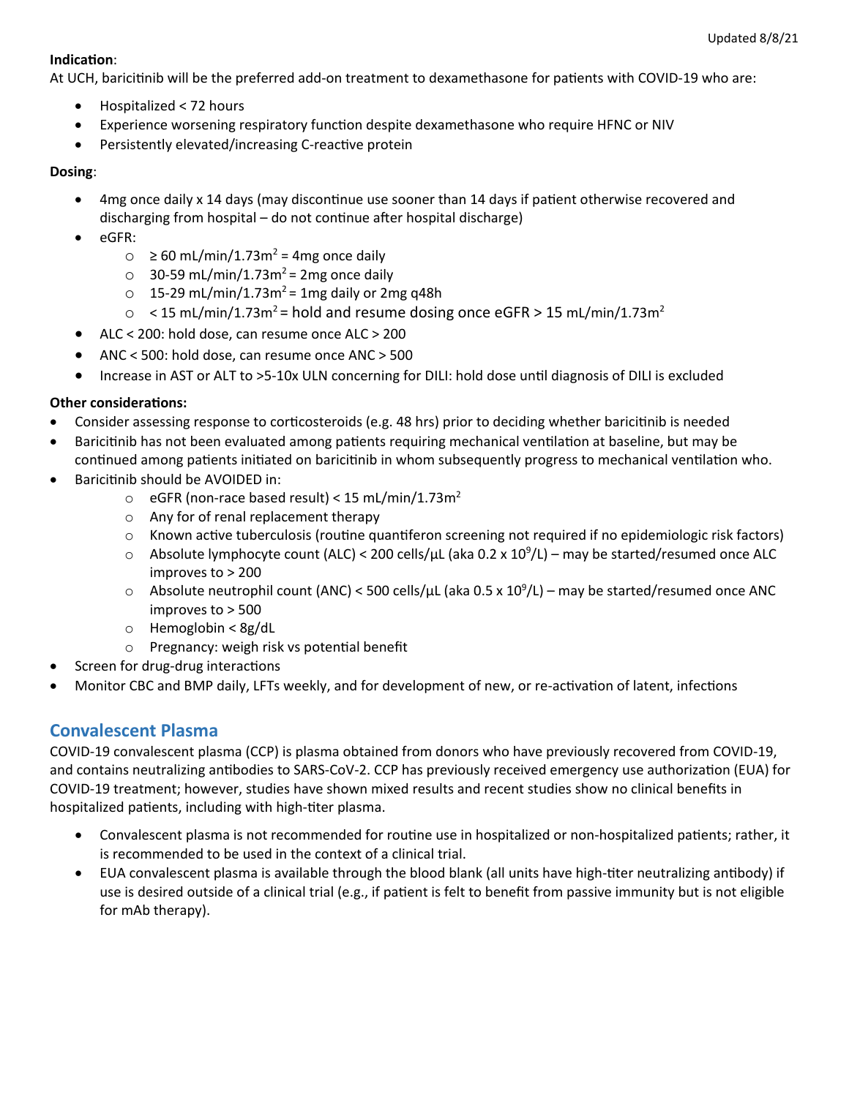### **Indication:**

At UCH, baricitinib will be the preferred add-on treatment to dexamethasone for patients with COVID-19 who are:

- Hospitalized < 72 hours
- Experience worsening respiratory function despite dexamethasone who require HFNC or NIV
- Persistently elevated/increasing C-reactive protein

## **Dosing**:

- 4mg once daily x 14 days (may discontinue use sooner than 14 days if patient otherwise recovered and discharging from hospital  $-$  do not continue after hospital discharge)
- eGFR:
	- $\circ$  ≥ 60 mL/min/1.73m<sup>2</sup> = 4mg once daily
	- $\circ$  30-59 mL/min/1.73m<sup>2</sup> = 2mg once daily
	- $\circ$  15-29 mL/min/1.73m<sup>2</sup> = 1mg daily or 2mg q48h
	- $\circ$  < 15 mL/min/1.73m<sup>2</sup> = hold and resume dosing once eGFR > 15 mL/min/1.73m<sup>2</sup>
- ALC < 200: hold dose, can resume once ALC > 200
- ANC < 500: hold dose, can resume once ANC > 500
- Increase in AST or ALT to >5-10x ULN concerning for DILI: hold dose until diagnosis of DILI is excluded

## **Other considerations:**

- Consider assessing response to corticosteroids (e.g. 48 hrs) prior to deciding whether baricitinib is needed
- Baricitinib has not been evaluated among patients requiring mechanical ventilation at baseline, but may be
- continued among patients initiated on baricitinib in whom subsequently progress to mechanical ventilation who. Baricitinib should be AVOIDED in:
	- $\circ$  eGFR (non-race based result) < 15 mL/min/1.73m<sup>2</sup>
	- o Any for of renal replacement therapy
	- $\circ$  Known active tuberculosis (routine quantiferon screening not required if no epidemiologic risk factors)
	- $\circ$  Absolute lymphocyte count (ALC) < 200 cells/ $\mu$ L (aka 0.2 x 10<sup>9</sup>/L) may be started/resumed once ALC improves to > 200
	- $\circ$  Absolute neutrophil count (ANC) < 500 cells/µL (aka 0.5 x 10<sup>9</sup>/L) may be started/resumed once ANC improves to > 500
	- o Hemoglobin < 8g/dL
	- $\circ$  Pregnancy: weigh risk vs potential benefit
- Screen for drug-drug interactions
- Monitor CBC and BMP daily, LFTs weekly, and for development of new, or re-activation of latent, infections

# **Convalescent Plasma**

COVID-19 convalescent plasma (CCP) is plasma obtained from donors who have previously recovered from COVID-19, and contains neutralizing antibodies to SARS-CoV-2. CCP has previously received emergency use authorization (EUA) for COVID-19 treatment; however, studies have shown mixed results and recent studies show no clinical benefits in hospitalized patients, including with high-titer plasma.

- Convalescent plasma is not recommended for routine use in hospitalized or non-hospitalized patients; rather, it is recommended to be used in the context of a clinical trial.
- EUA convalescent plasma is available through the blood blank (all units have high-titer neutralizing antibody) if use is desired outside of a clinical trial (e.g., if patient is felt to benefit from passive immunity but is not eligible for mAb therapy).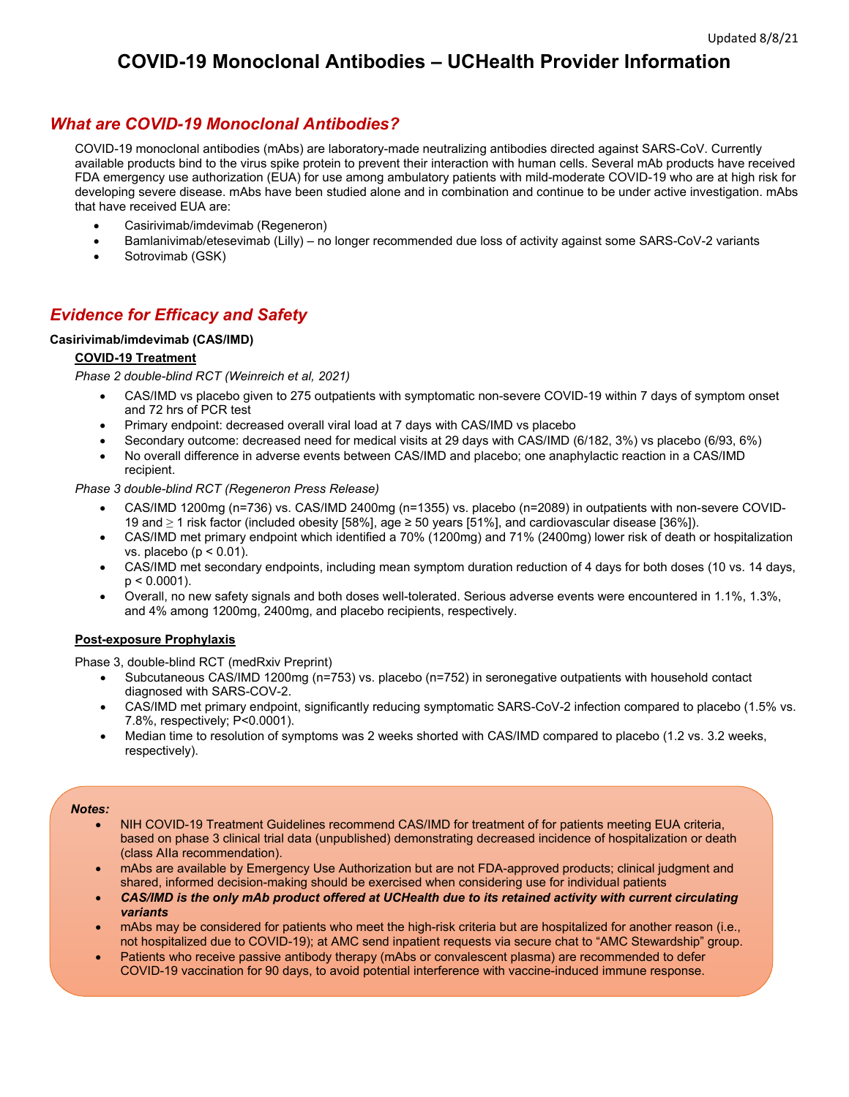# **COVID-19 Monoclonal Antibodies – UCHealth Provider Information**

# *What are COVID-19 Monoclonal Antibodies?*

COVID-19 monoclonal antibodies (mAbs) are laboratory-made neutralizing antibodies directed against SARS-CoV. Currently available products bind to the virus spike protein to prevent their interaction with human cells. Several mAb products have received FDA emergency use authorization (EUA) for use among ambulatory patients with mild-moderate COVID-19 who are at high risk for developing severe disease. mAbs have been studied alone and in combination and continue to be under active investigation. mAbs that have received EUA are:

- Casirivimab/imdevimab (Regeneron)
- Bamlanivimab/etesevimab (Lilly) no longer recommended due loss of activity against some SARS-CoV-2 variants
- Sotrovimab (GSK)

# *Evidence for Efficacy and Safety*

#### **Casirivimab/imdevimab (CAS/IMD)**

#### **COVID-19 Treatment**

*Phase 2 double-blind RCT (Weinreich et al, 2021)*

- CAS/IMD vs placebo given to 275 outpatients with symptomatic non-severe COVID-19 within 7 days of symptom onset and 72 hrs of PCR test
- Primary endpoint: decreased overall viral load at 7 days with CAS/IMD vs placebo
- Secondary outcome: decreased need for medical visits at 29 days with CAS/IMD (6/182, 3%) vs placebo (6/93, 6%)
- No overall difference in adverse events between CAS/IMD and placebo; one anaphylactic reaction in a CAS/IMD recipient.

*Phase 3 double-blind RCT (Regeneron Press Release)*

- CAS/IMD 1200mg (n=736) vs. CAS/IMD 2400mg (n=1355) vs. placebo (n=2089) in outpatients with non-severe COVID-19 and ≥ 1 risk factor (included obesity [58%], age ≥ 50 years [51%], and cardiovascular disease [36%]).
- CAS/IMD met primary endpoint which identified a 70% (1200mg) and 71% (2400mg) lower risk of death or hospitalization vs. placebo ( $p < 0.01$ ).
- CAS/IMD met secondary endpoints, including mean symptom duration reduction of 4 days for both doses (10 vs. 14 days,  $p < 0.0001$ ).
- Overall, no new safety signals and both doses well-tolerated. Serious adverse events were encountered in 1.1%, 1.3%, and 4% among 1200mg, 2400mg, and placebo recipients, respectively.

#### **Post-exposure Prophylaxis**

Phase 3, double-blind RCT (medRxiv Preprint)

- Subcutaneous CAS/IMD 1200mg (n=753) vs. placebo (n=752) in seronegative outpatients with household contact diagnosed with SARS-COV-2.
- CAS/IMD met primary endpoint, significantly reducing symptomatic SARS-CoV-2 infection compared to placebo (1.5% vs. 7.8%, respectively; P<0.0001).
- Median time to resolution of symptoms was 2 weeks shorted with CAS/IMD compared to placebo (1.2 vs. 3.2 weeks, respectively).

#### *Notes:*

- NIH COVID-19 Treatment Guidelines recommend CAS/IMD for treatment of for patients meeting EUA criteria, based on phase 3 clinical trial data (unpublished) demonstrating decreased incidence of hospitalization or death (class AIIa recommendation).
- mAbs are available by Emergency Use Authorization but are not FDA-approved products; clinical judgment and shared, informed decision-making should be exercised when considering use for individual patients
- *CAS/IMD is the only mAb product offered at UCHealth due to its retained activity with current circulating variants*
- mAbs may be considered for patients who meet the high-risk criteria but are hospitalized for another reason (i.e., not hospitalized due to COVID-19); at AMC send inpatient requests via secure chat to "AMC Stewardship" group.
- Patients who receive passive antibody therapy (mAbs or convalescent plasma) are recommended to defer COVID-19 vaccination for 90 days, to avoid potential interference with vaccine-induced immune response.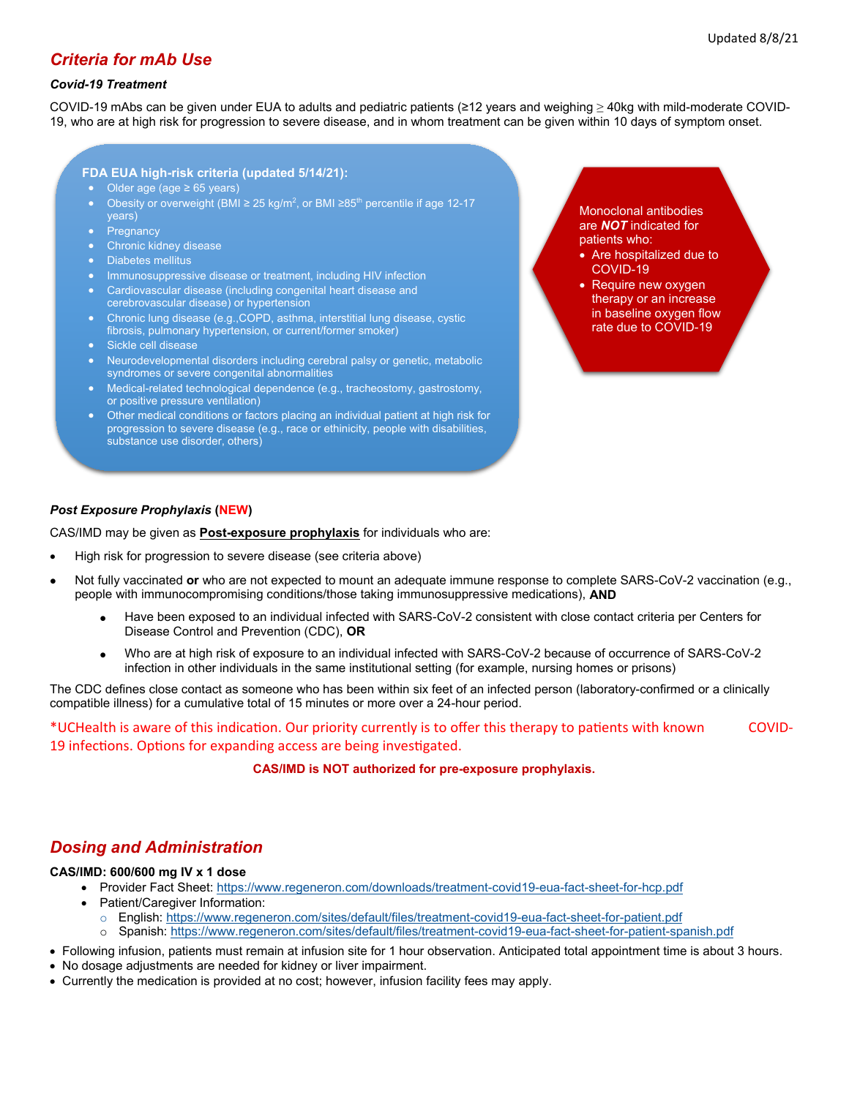# *Criteria for mAb Use*

#### *Covid-19 Treatment*

COVID-19 mAbs can be given under EUA to adults and pediatric patients (≥12 years and weighing ≥ 40kg with mild-moderate COVID-19, who are at high risk for progression to severe disease, and in whom treatment can be given within 10 days of symptom onset.

#### **FDA EUA high-risk criteria (updated 5/14/21):**

- Older age (age ≥ 65 years)
- Obesity or overweight (BMI  $\geq$  25 kg/m<sup>2</sup>, or BMI  $\geq$ 85<sup>th</sup> percentile if age 12-17 years)
- **Pregnancy**
- Chronic kidney disease
- Diabetes mellitus
- Immunosuppressive disease or treatment, including HIV infection
- Cardiovascular disease (including congenital heart disease and
- cerebrovascular disease) or hypertension • Chronic lung disease (e.g.,COPD, asthma, interstitial lung disease, cystic
- fibrosis, pulmonary hypertension, or current/former smoker) • Sickle cell disease
- Neurodevelopmental disorders including cerebral palsy or genetic, metabolic syndromes or severe congenital abnormalities
- Medical-related technological dependence (e.g., tracheostomy, gastrostomy, or positive pressure ventilation)
- Other medical conditions or factors placing an individual patient at high risk for progression to severe disease (e.g., race or ethinicity, people with disabilities, substance use disorder, others)

Monoclonal antibodies are *NOT* indicated for patients who:

- Are hospitalized due to COVID-19
- Require new oxygen therapy or an increase in baseline oxygen flow rate due to COVID-19

#### *Post Exposure Prophylaxis* **(NEW)**

CAS/IMD may be given as **Post-exposure prophylaxis** for individuals who are:

- High risk for progression to severe disease (see criteria above)
- Not fully vaccinated **or** who are not expected to mount an adequate immune response to complete SARS-CoV-2 vaccination (e.g., people with immunocompromising conditions/those taking immunosuppressive medications), **AND**
	- Have been exposed to an individual infected with SARS-CoV-2 consistent with close contact criteria per Centers for Disease Control and Prevention (CDC), **OR**
	- Who are at high risk of exposure to an individual infected with SARS-CoV-2 because of occurrence of SARS-CoV-2 infection in other individuals in the same institutional setting (for example, nursing homes or prisons)

The CDC defines close contact as someone who has been within six feet of an infected person (laboratory-confirmed or a clinically compatible illness) for a cumulative total of 15 minutes or more over a 24-hour period.

\*UCHealth is aware of this indica�on. Our priority currently is to offer this therapy to pa�ents with known COVID-19 infections. Options for expanding access are being investigated.

**CAS/IMD is NOT authorized for pre-exposure prophylaxis.**

# *Dosing and Administration*

#### **CAS/IMD: 600/600 mg IV x 1 dose**

- Provider Fact Sheet:<https://www.regeneron.com/downloads/treatment-covid19-eua-fact-sheet-for-hcp.pdf>
- Patient/Caregiver Information:
	- o English:<https://www.regeneron.com/sites/default/files/treatment-covid19-eua-fact-sheet-for-patient.pdf>
	- o Spanish:<https://www.regeneron.com/sites/default/files/treatment-covid19-eua-fact-sheet-for-patient-spanish.pdf>
- Following infusion, patients must remain at infusion site for 1 hour observation. Anticipated total appointment time is about 3 hours.
- No dosage adjustments are needed for kidney or liver impairment.
- Currently the medication is provided at no cost; however, infusion facility fees may apply.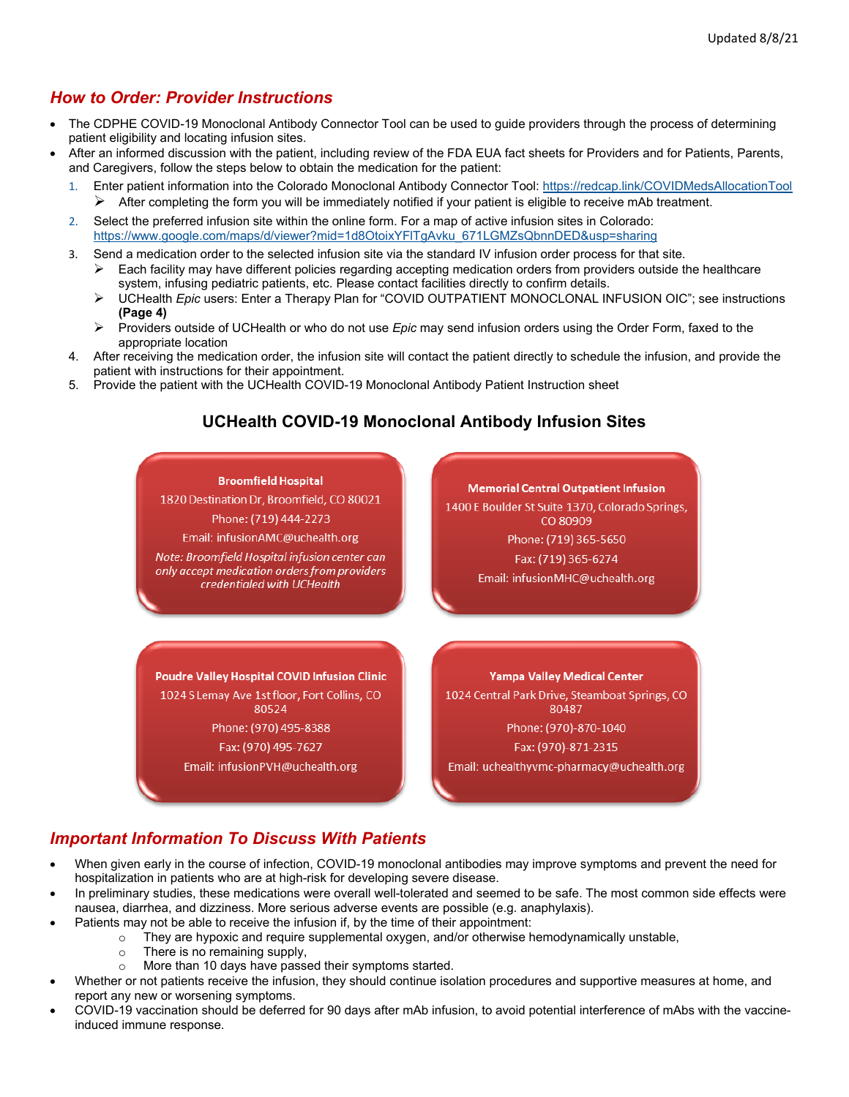# *How to Order: Provider Instructions*

- The CDPHE COVID-19 Monoclonal Antibody Connector Tool can be used to guide providers through the process of determining patient eligibility and locating infusion sites.
- After an informed discussion with the patient, including review of the FDA EUA fact sheets for Providers and for Patients, Parents, and Caregivers, follow the steps below to obtain the medication for the patient:
	- 1. Enter patient information into the Colorado Monoclonal Antibody Connector Tool[: https://redcap.link/COVIDMedsAllocationTool](https://redcap.link/COVIDMedsAllocationTool)  $\triangleright$  After completing the form you will be immediately notified if your patient is eligible to receive mAb treatment.
	- 2. Select the preferred infusion site within the online form. For a map of active infusion sites in Colorado: [https://www.google.com/maps/d/viewer?mid=1d8OtoixYFlTgAvku\\_671LGMZsQbnnDED&usp=sharing](https://www.google.com/maps/d/viewer?mid=1d8OtoixYFlTgAvku_671LGMZsQbnnDED&usp=sharing)
	- 3. Send a medication order to the selected infusion site via the standard IV infusion order process for that site.  $\triangleright$  Each facility may have different policies regarding accepting medication orders from providers outside the healthcare
		- system, infusing pediatric patients, etc. Please contact facilities directly to confirm details. UCHealth *Epic* users: Enter a Therapy Plan for "COVID OUTPATIENT MONOCLONAL INFUSION OIC"; see instructions
		- **(Page 4)** Providers outside of UCHealth or who do not use *Epic* may send infusion orders using the Order Form, faxed to the
		- appropriate location
	- 4. After receiving the medication order, the infusion site will contact the patient directly to schedule the infusion, and provide the patient with instructions for their appointment.
	- 5. Provide the patient with the UCHealth COVID-19 Monoclonal Antibody Patient Instruction sheet

# **UCHealth COVID-19 Monoclonal Antibody Infusion Sites**



1820 Destination Dr, Broomfield, CO 80021

Phone: (719) 444-2273 Email: infusionAMC@uchealth.org

Note: Broomfield Hospital infusion center can only accept medication orders from providers credentialed with UCHealth

**Memorial Central Outpatient Infusion** 1400 E Boulder St Suite 1370, Colorado Springs, CO 80909

> Phone: (719) 365-5650 Fax: (719) 365-6274 Email: infusionMHC@uchealth.org

**Poudre Valley Hospital COVID Infusion Clinic** 1024 S Lemay Ave 1st floor, Fort Collins, CO 80524 Phone: (970) 495-8388 Fax: (970) 495-7627

Email: infusionPVH@uchealth.org

**Yampa Valley Medical Center** 1024 Central Park Drive, Steamboat Springs, CO 80487 Phone: (970)-870-1040 Fax: (970)-871-2315

Email: uchealthyvmc-pharmacy@uchealth.org

# *Important Information To Discuss With Patients*

- When given early in the course of infection, COVID-19 monoclonal antibodies may improve symptoms and prevent the need for hospitalization in patients who are at high-risk for developing severe disease.
- In preliminary studies, these medications were overall well-tolerated and seemed to be safe. The most common side effects were nausea, diarrhea, and dizziness. More serious adverse events are possible (e.g. anaphylaxis).
- Patients may not be able to receive the infusion if, by the time of their appointment:
	- $\circ$  They are hypoxic and require supplemental oxygen, and/or otherwise hemodynamically unstable,  $\circ$  There is no remaining supply,
	- $\circ$  There is no remaining supply,<br> $\circ$  More than 10 days have passe
	- More than 10 days have passed their symptoms started.
- Whether or not patients receive the infusion, they should continue isolation procedures and supportive measures at home, and report any new or worsening symptoms.
- COVID-19 vaccination should be deferred for 90 days after mAb infusion, to avoid potential interference of mAbs with the vaccineinduced immune response.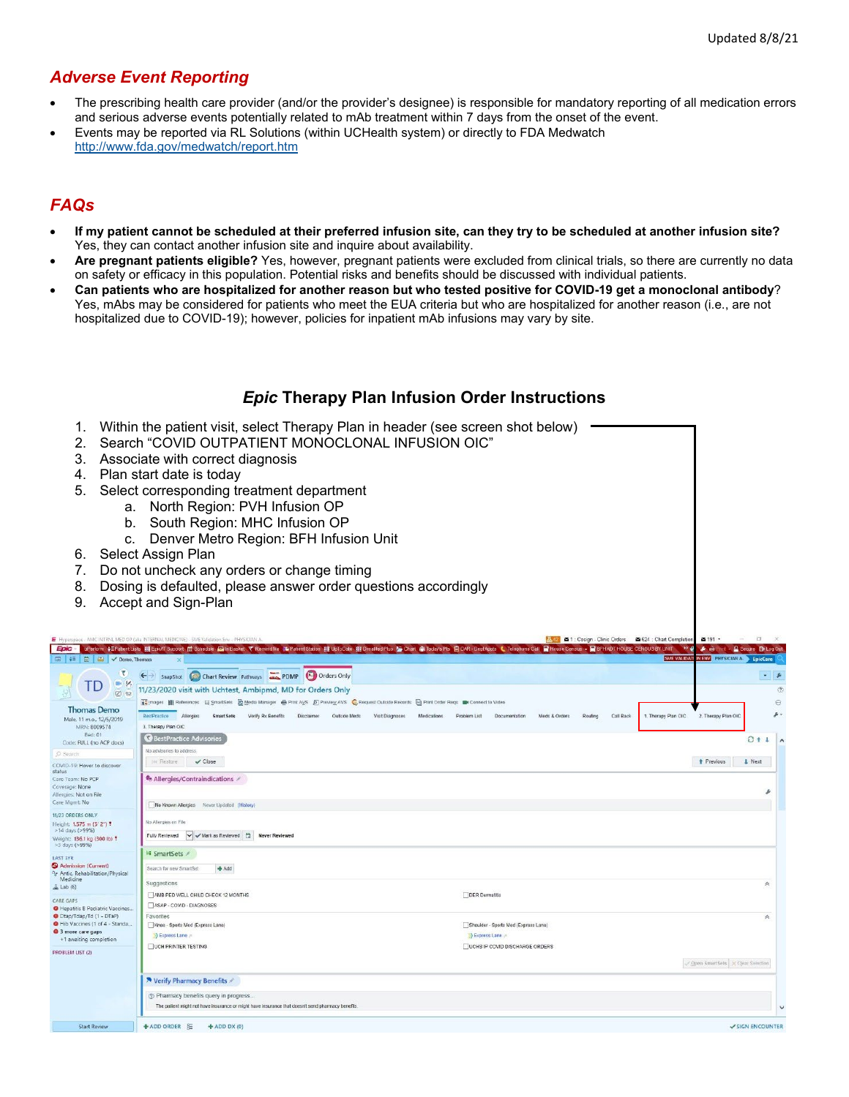# *Adverse Event Reporting*

- The prescribing health care provider (and/or the provider's designee) is responsible for mandatory reporting of all medication errors and serious adverse events potentially related to mAb treatment within 7 days from the onset of the event.
- Events may be reported via RL Solutions (within UCHealth system) or directly to FDA Medwatch [http://www.fda.gov/medwatch/report.htm](about:blank)

# *FAQs*

- **If my patient cannot be scheduled at their preferred infusion site, can they try to be scheduled at another infusion site?** Yes, they can contact another infusion site and inquire about availability.
- **Are pregnant patients eligible?** Yes, however, pregnant patients were excluded from clinical trials, so there are currently no data on safety or efficacy in this population. Potential risks and benefits should be discussed with individual patients.
- **Can patients who are hospitalized for another reason but who tested positive for COVID-19 get a monoclonal antibody**? Yes, mAbs may be considered for patients who meet the EUA criteria but who are hospitalized for another reason (i.e., are not hospitalized due to COVID-19); however, policies for inpatient mAb infusions may vary by site.

# *Epic* **Therapy Plan Infusion Order Instructions**

- 1. Within the patient visit, select Therapy Plan in header (see screen shot below)
- 2. Search "COVID OUTPATIENT MONOCLONAL INFUSION OIC"
- 3. Associate with correct diagnosis
- 4. Plan start date is today
- 5. Select corresponding treatment department
	- a. North Region: PVH Infusion OP
	- b. South Region: MHC Infusion OP
	- c. Denver Metro Region: BFH Infusion Unit
- 6. Select Assign Plan
- 7. Do not uncheck any orders or change timing
- 8. Dosing is defaulted, please answer order questions accordingly
- 9. Accept and Sign-Plan

|                                                                       |                                                                                                                                        |                                                                               | SME VALIDATION ENV PHYSICIAN A. EpicCare |
|-----------------------------------------------------------------------|----------------------------------------------------------------------------------------------------------------------------------------|-------------------------------------------------------------------------------|------------------------------------------|
| Y.<br>H                                                               | Chart Review Pathways <b>CODID DATE</b> Orders Only<br>$\leftarrow$<br>SnapShot                                                        |                                                                               | $-1$                                     |
| TD<br>28<br>8.                                                        | 11/23/2020 visit with Uchtest, Ambipmd, MD for Orders Only                                                                             |                                                                               | $\circledcirc$                           |
|                                                                       |                                                                                                                                        |                                                                               | $_{\odot}$                               |
| <b>Thomas Demo</b>                                                    | BestPractice Allergies<br>SmartSets Verify Rx Benefits<br>Disclaimer<br>Outside Meds<br>Visit Diagnoses<br>Medications<br>Problem List | 1. Therapy Plan OIC<br>Documentation<br>Meds & Orders<br>Routing<br>Call Back | $\mathcal{P}$ .<br>2. Therapy Plan OIC   |
| Male, 11 m.o., 12/5/2019<br>MRN: 8009574                              | 3. Therapy Plan OIC                                                                                                                    |                                                                               |                                          |
| Bed: 01<br>Code: FULL (no ACP docs)                                   | <b>BestPractice Advisories</b>                                                                                                         |                                                                               | $C + 1$                                  |
| O Search                                                              | No advisories to address:                                                                                                              |                                                                               |                                          |
| COVID-19: Hover to discover<br>status                                 | 144 Restore<br>$\vee$ Close                                                                                                            |                                                                               | + Previous<br><b>I</b> Next              |
| Care Team: No PCP<br>Coverage: None<br>Allergies: Not on File         | <b>*</b> Allergies/Contraindications ∕                                                                                                 |                                                                               |                                          |
| Care Mgmt: No                                                         | No Known Allergies Never Updated (History)                                                                                             |                                                                               |                                          |
| 11/23 ORDERS ONLY<br>Height: 1.575 m (5' 2") ?                        | No Allergies on File                                                                                                                   |                                                                               |                                          |
| >14 days (>99%)<br>Weight: 136.1 kg (300 lb) !<br>>3 days (>99%)      | Mark as Reviewed<br>Fully Reviewed<br><b>Never Reviewed</b>                                                                            |                                                                               |                                          |
| LAST 3YR                                                              | El SmartSets                                                                                                                           |                                                                               |                                          |
| Admission (Current)<br><sup>9</sup> Jr Antic, Rehabilitation/Physical | + Add<br>Search for new SmartSet                                                                                                       |                                                                               |                                          |
| Medicine<br>△ Lab (6)                                                 | Suggestions                                                                                                                            |                                                                               | 《                                        |
|                                                                       | MMB PED WELL CHILD CHECK 12 MONTHS                                                                                                     | DER Dermatitis                                                                |                                          |
| CARE GAPS<br>Hepatitis B Pediatric Vaccines                           | ASAP - COVID - DIAGNOSES                                                                                                               |                                                                               |                                          |
| O Dtap/Tdap/Td (1 - DTaP)                                             | Favorites                                                                                                                              |                                                                               | 夾                                        |
| Hib Vaccines (1 of 4 - Standa<br>3 more care gaps                     | Knee - Sports Med (Express Lane)                                                                                                       | Shoulder - Sports Med (Express Lane)                                          |                                          |
| +1 awaiting completion                                                | Express Lane                                                                                                                           | > Express Lane                                                                |                                          |
| PROBLEM LIST (2)                                                      | <b>UCH PRINTER TESTING</b>                                                                                                             | UCHS IP COVID DISCHARGE ORDERS                                                |                                          |
|                                                                       |                                                                                                                                        |                                                                               | Open SmartSets > Clear Selection         |
|                                                                       | N Verify Pharmacy Benefits                                                                                                             |                                                                               |                                          |
|                                                                       | 2 Pharmacy benefits query in progress                                                                                                  |                                                                               |                                          |
|                                                                       | The patient might not have insurance or might have insurance that doesn't send pharmacy benefits                                       |                                                                               | $\overline{\phantom{0}}$                 |
| <b>Start Review</b>                                                   | + ADD ORDER }<br>$+$ ADD DX $(0)$                                                                                                      |                                                                               | SIGN ENCOUNTER                           |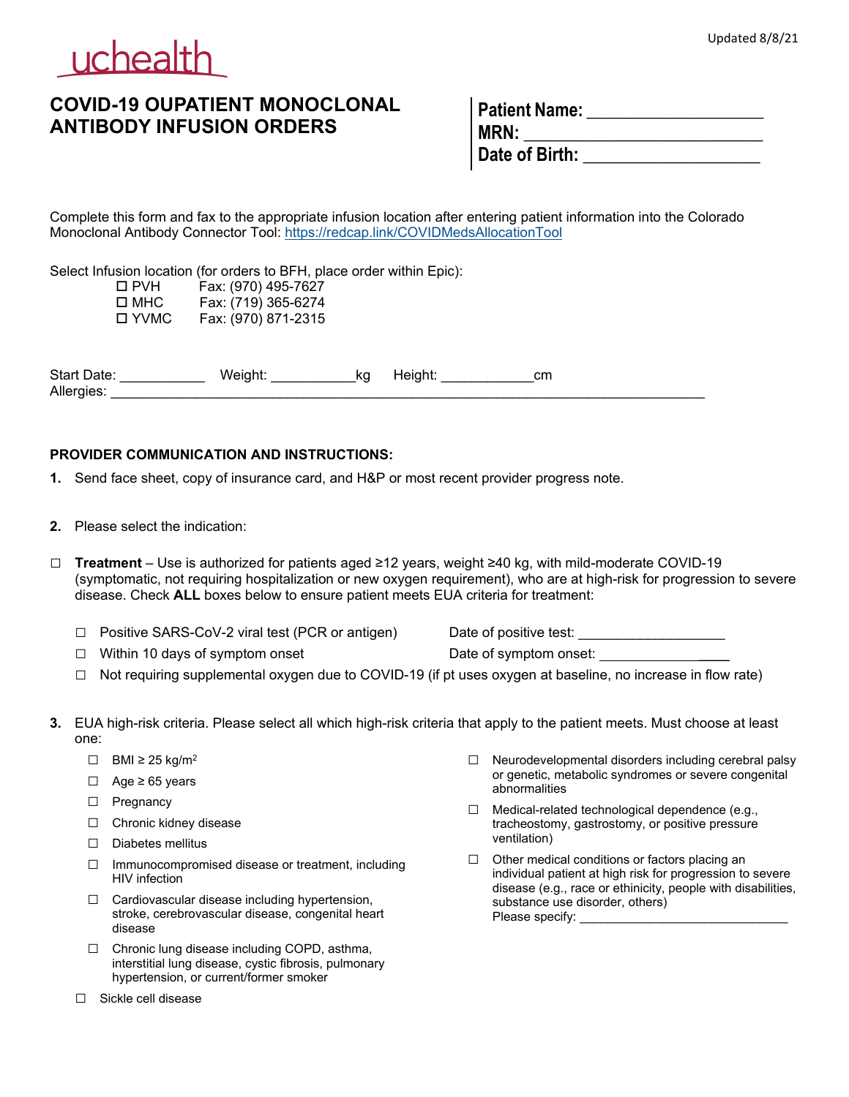

# **COVID-19 OUPATIENT MONOCLONAL ANTIBODY INFUSION ORDERS**

| <b>Patient Name:</b> |  |
|----------------------|--|
| I MRN:               |  |
| Date of Birth:       |  |

Complete this form and fax to the appropriate infusion location after entering patient information into the Colorado Monoclonal Antibody Connector Tool:<https://redcap.link/COVIDMedsAllocationTool>

Select Infusion location (for orders to BFH, place order within Epic):

| □ PVH  | Fax: (970) 495-7627 |
|--------|---------------------|
| □ MHC  | Fax: (719) 365-6274 |
| □ YVMC | Fax: (970) 871-2315 |

Start Date: \_\_\_\_\_\_\_\_\_\_\_ Weight: \_\_\_\_\_\_\_\_\_\_\_kg Height: \_\_\_\_\_\_\_\_\_\_\_\_cm Allergies:

## **PROVIDER COMMUNICATION AND INSTRUCTIONS:**

- **1.** Send face sheet, copy of insurance card, and H&P or most recent provider progress note.
- **2.** Please select the indication:

□ **Treatment** – Use is authorized for patients aged ≥12 years, weight ≥40 kg, with mild-moderate COVID-19 (symptomatic, not requiring hospitalization or new oxygen requirement), who are at high-risk for progression to severe disease. Check **ALL** boxes below to ensure patient meets EUA criteria for treatment:

- □ Positive SARS-CoV-2 viral test (PCR or antigen) Date of positive test:
	-
- $\Box$  Within 10 days of symptom onset  $\Box$  Date of symptom onset:

- □ Not requiring supplemental oxygen due to COVID-19 (if pt uses oxygen at baseline, no increase in flow rate)
- **3.** EUA high-risk criteria. Please select all which high-risk criteria that apply to the patient meets. Must choose at least one:
	- $\Box$  BMI ≥ 25 kg/m<sup>2</sup>
	- □ Age ≥ 65 years
	- □ Pregnancy
	- □ Chronic kidney disease
	- □ Diabetes mellitus
	- $\Box$  Immunocompromised disease or treatment, including HIV infection
	- $\Box$  Cardiovascular disease including hypertension, stroke, cerebrovascular disease, congenital heart disease
	- □ Chronic lung disease including COPD, asthma, interstitial lung disease, cystic fibrosis, pulmonary hypertension, or current/former smoker
	- □ Sickle cell disease
- $\Box$  Neurodevelopmental disorders including cerebral palsy or genetic, metabolic syndromes or severe congenital abnormalities
- $\Box$  Medical-related technological dependence (e.g., tracheostomy, gastrostomy, or positive pressure ventilation)
- $\Box$  Other medical conditions or factors placing an individual patient at high risk for progression to severe disease (e.g., race or ethinicity, people with disabilities, substance use disorder, others) Please specify: